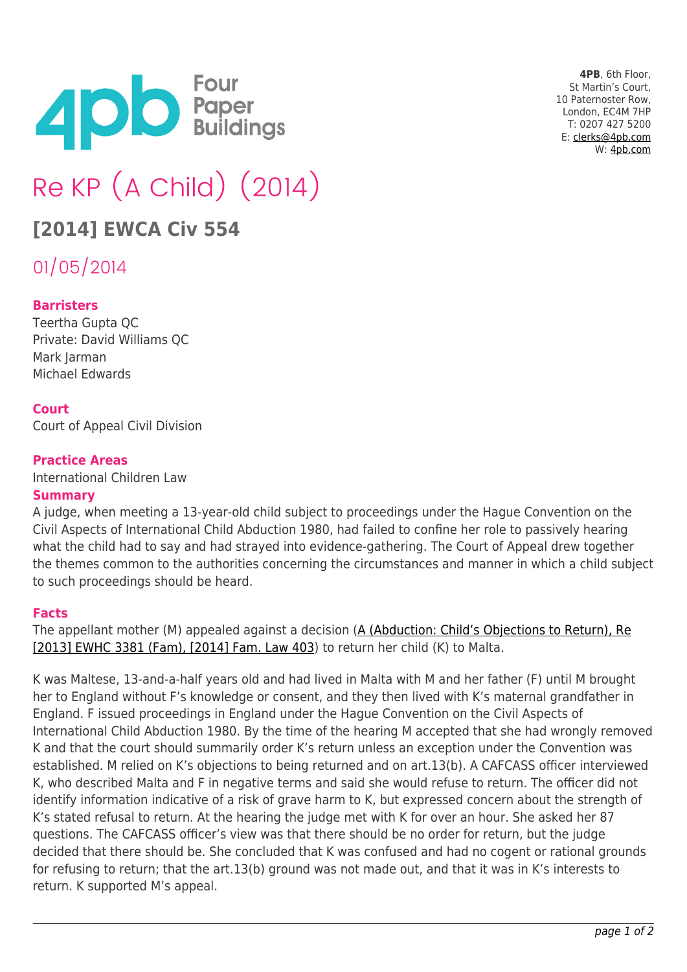

**4PB**, 6th Floor, St Martin's Court, 10 Paternoster Row, London, EC4M 7HP T: 0207 427 5200 E: [clerks@4pb.com](mailto:clerks@4pb.com) W: [4pb.com](http://4pb.com)

# Re KP (A Child) (2014)

## **[2014] EWCA Civ 554**

01/05/2014

#### **Barristers**

Teertha Gupta QC Private: David Williams QC Mark Jarman Michael Edwards

#### **Court**

Court of Appeal Civil Division

#### **Practice Areas**

International Children Law

#### **Summary**

A judge, when meeting a 13-year-old child subject to proceedings under the Hague Convention on the Civil Aspects of International Child Abduction 1980, had failed to confine her role to passively hearing what the child had to say and had strayed into evidence-gathering. The Court of Appeal drew together the themes common to the authorities concerning the circumstances and manner in which a child subject to such proceedings should be heard.

#### **Facts**

The appellant mother (M) appealed against a decision ([A \(Abduction: Child's Objections to Return\), Re](https://www.lawtel.com/MyLawtel/Documents/AC0139822) [\[2013\] EWHC 3381 \(Fam\), \[2014\] Fam. Law 403](https://www.lawtel.com/MyLawtel/Documents/AC0139822)) to return her child (K) to Malta.

K was Maltese, 13-and-a-half years old and had lived in Malta with M and her father (F) until M brought her to England without F's knowledge or consent, and they then lived with K's maternal grandfather in England. F issued proceedings in England under the Hague Convention on the Civil Aspects of International Child Abduction 1980. By the time of the hearing M accepted that she had wrongly removed K and that the court should summarily order K's return unless an exception under the Convention was established. M relied on K's objections to being returned and on art.13(b). A CAFCASS officer interviewed K, who described Malta and F in negative terms and said she would refuse to return. The officer did not identify information indicative of a risk of grave harm to K, but expressed concern about the strength of K's stated refusal to return. At the hearing the judge met with K for over an hour. She asked her 87 questions. The CAFCASS officer's view was that there should be no order for return, but the judge decided that there should be. She concluded that K was confused and had no cogent or rational grounds for refusing to return; that the art.13(b) ground was not made out, and that it was in K's interests to return. K supported M's appeal.